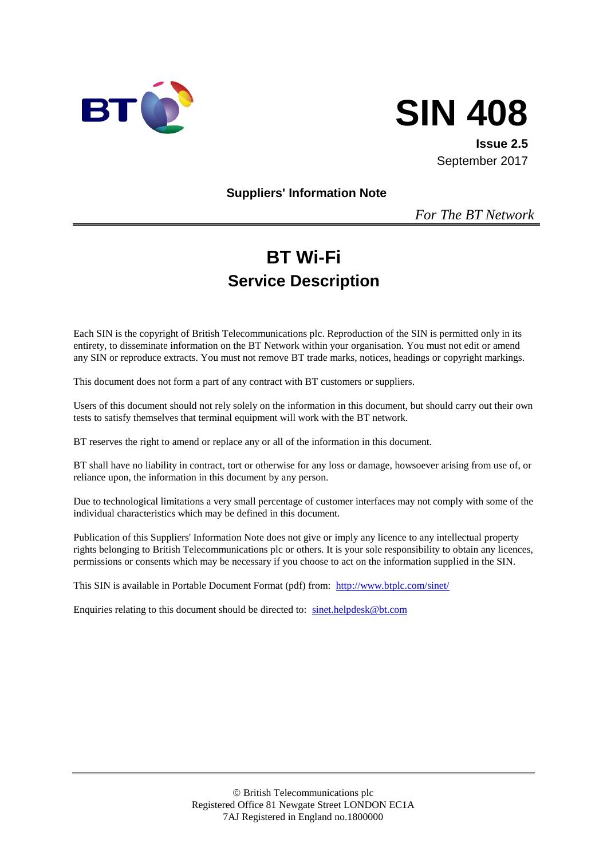



**Issue 2.5** September 2017

**Suppliers' Information Note**

*For The BT Network*

# **BT Wi-Fi Service Description**

Each SIN is the copyright of British Telecommunications plc. Reproduction of the SIN is permitted only in its entirety, to disseminate information on the BT Network within your organisation. You must not edit or amend any SIN or reproduce extracts. You must not remove BT trade marks, notices, headings or copyright markings.

This document does not form a part of any contract with BT customers or suppliers.

Users of this document should not rely solely on the information in this document, but should carry out their own tests to satisfy themselves that terminal equipment will work with the BT network.

BT reserves the right to amend or replace any or all of the information in this document.

BT shall have no liability in contract, tort or otherwise for any loss or damage, howsoever arising from use of, or reliance upon, the information in this document by any person.

Due to technological limitations a very small percentage of customer interfaces may not comply with some of the individual characteristics which may be defined in this document.

Publication of this Suppliers' Information Note does not give or imply any licence to any intellectual property rights belonging to British Telecommunications plc or others. It is your sole responsibility to obtain any licences, permissions or consents which may be necessary if you choose to act on the information supplied in the SIN.

This SIN is available in Portable Document Format (pdf) from: <http://www.btplc.com/sinet/>

Enquiries relating to this document should be directed to: [sinet.helpdesk@bt.com](mailto:sinet.helpdesk@bt.com)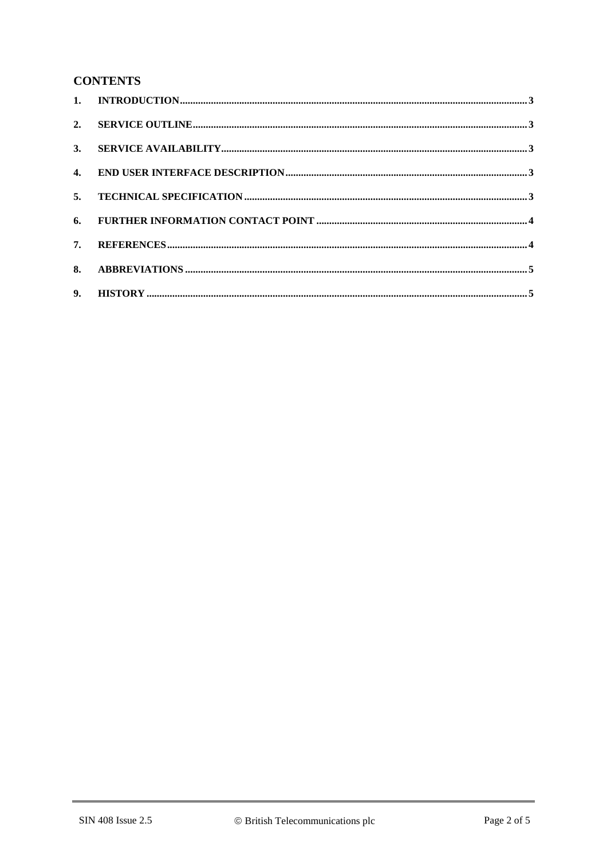## **CONTENTS**

| 7. |  |
|----|--|
|    |  |
|    |  |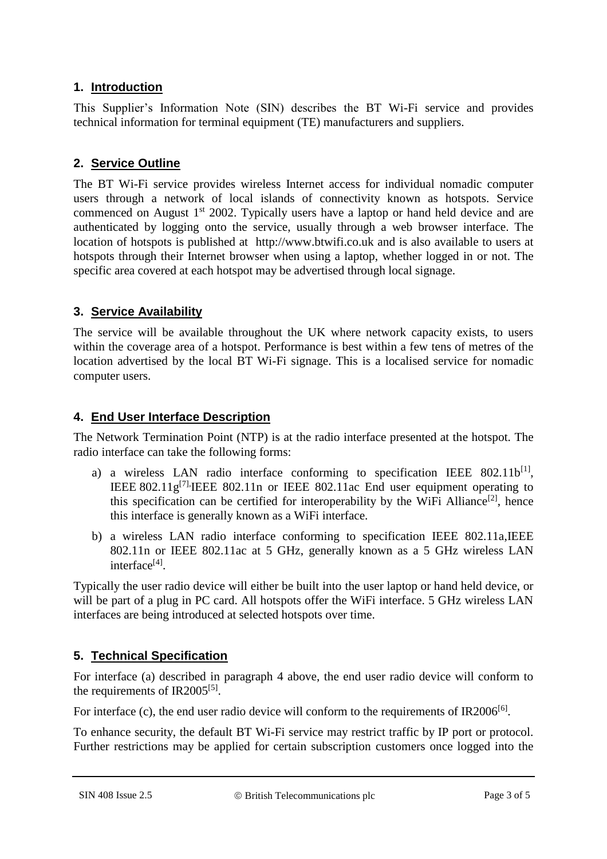#### **1. Introduction**

This Supplier's Information Note (SIN) describes the BT Wi-Fi service and provides technical information for terminal equipment (TE) manufacturers and suppliers.

# **2. Service Outline**

The BT Wi-Fi service provides wireless Internet access for individual nomadic computer users through a network of local islands of connectivity known as hotspots. Service commenced on August  $1<sup>st</sup>$  2002. Typically users have a laptop or hand held device and are authenticated by logging onto the service, usually through a web browser interface. The location of hotspots is published at http://www.btwifi.co.uk and is also available to users at hotspots through their Internet browser when using a laptop, whether logged in or not. The specific area covered at each hotspot may be advertised through local signage.

## **3. Service Availability**

The service will be available throughout the UK where network capacity exists, to users within the coverage area of a hotspot. Performance is best within a few tens of metres of the location advertised by the local BT Wi-Fi signage. This is a localised service for nomadic computer users.

## **4. End User Interface Description**

The Network Termination Point (NTP) is at the radio interface presented at the hotspot. The radio interface can take the following forms:

- a) a wireless LAN radio interface conforming to specification IEEE  $802.11b^{[1]}$  $802.11b^{[1]}$  $802.11b^{[1]}$ , IEEE 802.11 $g^{[7]}$ . IEEE 802.11n or IEEE 802.11ac End user equipment operating to this specification can be certified for interoperability by the WiFi Alliance<sup>[\[2\]](#page-3-2)</sup>, hence this interface is generally known as a WiFi interface.
- b) a wireless LAN radio interface conforming to specification IEEE 802.11a,IEEE 802.11n or IEEE 802.11ac at 5 GHz, generally known as a 5 GHz wireless LAN interface<sup>[\[4\]](#page-3-3)</sup>.

Typically the user radio device will either be built into the user laptop or hand held device, or will be part of a plug in PC card. All hotspots offer the WiFi interface. 5 GHz wireless LAN interfaces are being introduced at selected hotspots over time.

# **5. Technical Specification**

For interface (a) described in paragraph 4 above, the end user radio device will conform to the requirements of IR2005<sup>[\[5\]](#page-3-4)</sup>.

For interface (c), the end user radio device will conform to the requirements of IR2006<sup>[\[6\]](#page-3-5)</sup>.

To enhance security, the default BT Wi-Fi service may restrict traffic by IP port or protocol. Further restrictions may be applied for certain subscription customers once logged into the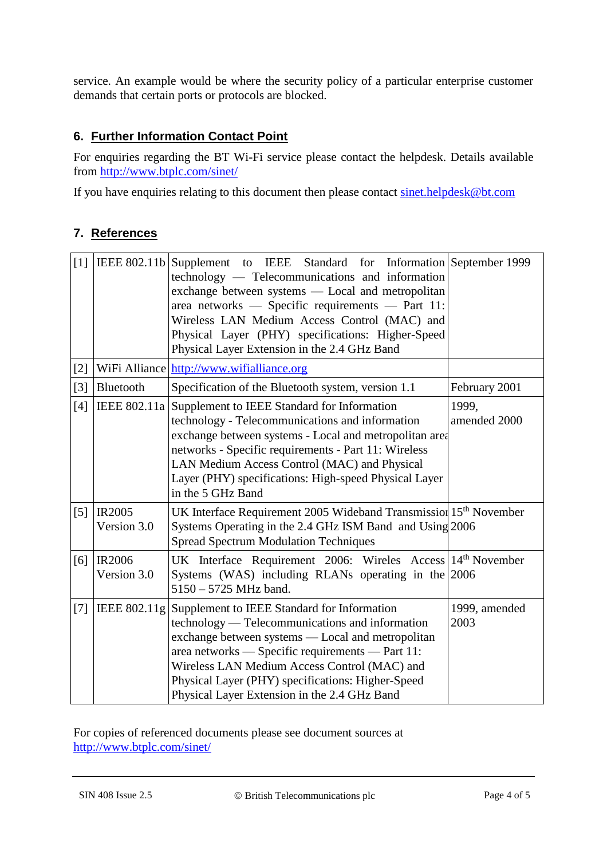service. An example would be where the security policy of a particular enterprise customer demands that certain ports or protocols are blocked.

# **6. Further Information Contact Point**

For enquiries regarding the BT Wi-Fi service please contact the helpdesk. Details available from<http://www.btplc.com/sinet/>

If you have enquiries relating to this document then please contact [sinet.helpdesk@bt.com](mailto:sinet.helpdesk@bt.com)

#### **7. References**

<span id="page-3-3"></span><span id="page-3-2"></span><span id="page-3-0"></span>

| $[1]$ |                              | IEEE 802.11b Supplement to IEEE Standard for Information September 1999<br>technology — Telecommunications and information<br>exchange between systems — Local and metropolitan<br>area networks — Specific requirements — Part 11:<br>Wireless LAN Medium Access Control (MAC) and<br>Physical Layer (PHY) specifications: Higher-Speed<br>Physical Layer Extension in the 2.4 GHz Band |                       |
|-------|------------------------------|------------------------------------------------------------------------------------------------------------------------------------------------------------------------------------------------------------------------------------------------------------------------------------------------------------------------------------------------------------------------------------------|-----------------------|
| $[2]$ |                              | WiFi Alliance http://www.wifialliance.org                                                                                                                                                                                                                                                                                                                                                |                       |
| $[3]$ | Bluetooth                    | Specification of the Bluetooth system, version 1.1                                                                                                                                                                                                                                                                                                                                       | February 2001         |
| [4]   |                              | IEEE 802.11a Supplement to IEEE Standard for Information<br>technology - Telecommunications and information<br>exchange between systems - Local and metropolitan area<br>networks - Specific requirements - Part 11: Wireless<br>LAN Medium Access Control (MAC) and Physical<br>Layer (PHY) specifications: High-speed Physical Layer<br>in the 5 GHz Band                              | 1999,<br>amended 2000 |
| [5]   | IR2005<br>Version 3.0        | UK Interface Requirement 2005 Wideband Transmission 15 <sup>th</sup> November<br>Systems Operating in the 2.4 GHz ISM Band and Using 2006<br><b>Spread Spectrum Modulation Techniques</b>                                                                                                                                                                                                |                       |
| [6]   | <b>IR2006</b><br>Version 3.0 | UK Interface Requirement 2006: Wireles Access 14 <sup>th</sup> November<br>Systems (WAS) including RLANs operating in the $ 2006 $<br>5150 - 5725 MHz band.                                                                                                                                                                                                                              |                       |
| $[7]$ | IEEE 802.11g                 | Supplement to IEEE Standard for Information<br>technology — Telecommunications and information<br>exchange between systems — Local and metropolitan<br>area networks - Specific requirements - Part 11:<br>Wireless LAN Medium Access Control (MAC) and<br>Physical Layer (PHY) specifications: Higher-Speed<br>Physical Layer Extension in the 2.4 GHz Band                             | 1999, amended<br>2003 |

<span id="page-3-5"></span><span id="page-3-4"></span><span id="page-3-1"></span>For copies of referenced documents please see document sources at <http://www.btplc.com/sinet/>